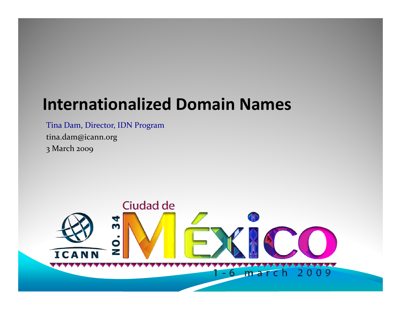#### **Internationalized Domain Names**

Tina Dam, Director, IDN Program tina.dam@icann.org 3 March 2009

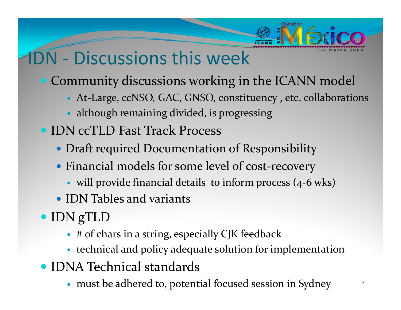

### IDN ‐ Discussions this week

- Community discussions working in the ICANN model
	- At-Large, ccNSO, GAC, GNSO, constituency, etc. collaborations
	- although remaining divided, is progressing
- IDN ccTLD Fast Track Process
	- Draft required Documentation of Responsibility
	- Financial models for some level of cost-recovery
		- will provide financial details to inform process (4-6 wks)
	- IDN Tables and variants
- IDN gTLD
	- # of chars in a string, especially CJK feedback
	- technical and policy adequate solution for implementation
- IDNA Technical standards
	- must be adhered to, potential focused session in Sydney  $\frac{2}{3}$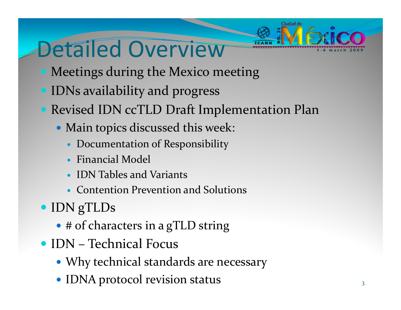## Detailed Overview

- Meetings during the Mexico meeting
- IDNs availability and progress
- Revised IDN ccTLD Draft Implementation Plan
	- Main topics discussed this week:
		- $\bullet$ Documentation of Responsibility
		- Financial Model
		- $\bullet$ • IDN Tables and Variants
		- Contention Prevention and Solutions
- IDN gTLDs
	- # of characters in a gTLD string
- IDN Technical Focus
	- Why technical standards are necessary
	- IDNA protocol revision status  $3<sup>3</sup>$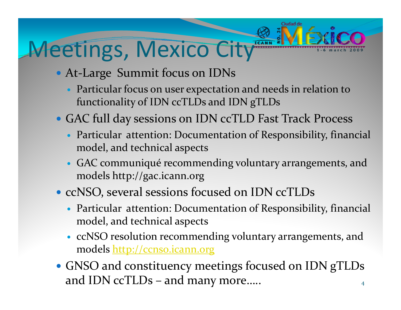# Meetings, Mexico City

- At-Large Summit focus on IDNs
	- Particular focus on user expectation and needs in relation to functionality of IDN ccTLDs and IDN gTLDs
- GAC full day sessions on IDN ccTLD Fast Track Process
	- Particular attention: Documentation of Responsibility, financial model, and technical aspects
	- GAC communiqué recommending voluntary arrangements, and models http://gac.icann.org
- ccNSO, several sessions focused on IDN ccTLDs
	- Particular attention: Documentation of Responsibility, financial model, and technical aspects
	- ccNSO resolution recommending voluntary arrangements, and models <u>[http://ccnso.icann.org](http://ccnso.icann.org/)</u>
- GNSO and constituency meetings focused on IDN gTLDs and IDN ccTLDs – and many more…..  $\qquad \qquad \hbox{4}$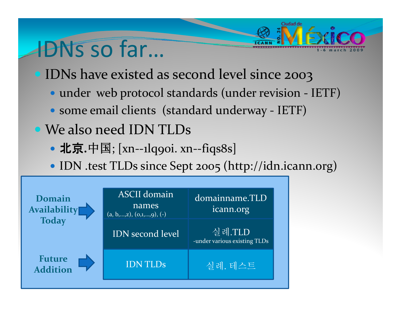# IDNs so far…

- IDNs have existed as second level since 2003
	- under web protocol standards (under revision IETF)
	- some email clients (standard underway IETF)
- We also need IDN TLDs
	- $\bullet$ • 北京.中国; [xn--1lq90i. xn--fiqs8s]
	- y IDN .test TLDs since Sept <sup>2005</sup> (http://idn.icann.org)

| Domain<br><b>Availability</b>    | <b>ASCII</b> domain<br>names<br>$(a, b, \ldots, z), (o, 1, \ldots, 9), (-)$ | domainname.TLD<br>icann.org            |
|----------------------------------|-----------------------------------------------------------------------------|----------------------------------------|
| <b>Today</b>                     | <b>IDN</b> second level                                                     | 실례.TLD<br>-under various existing TLDs |
| <b>Future</b><br><b>Addition</b> | <b>IDN TLDs</b>                                                             | 실례. 테스트                                |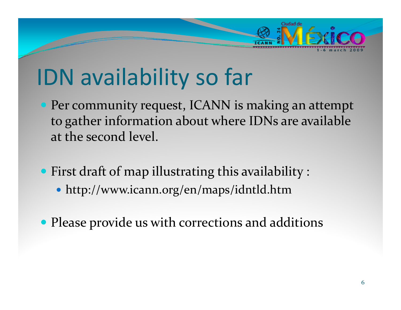

# IDN availability so far

- **Per community request, ICANN is making an attempt** to gather information about where IDNs are available at the second level.
- **First draft of map illustrating this availability :** 
	- y http://www.icann.org/en/maps/idntld.htm
- Please provide us with corrections and additions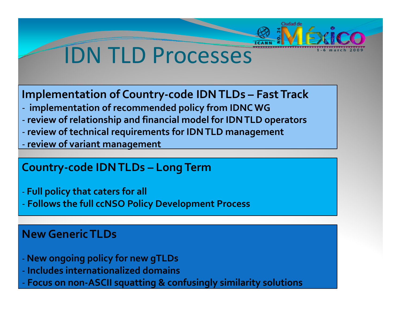

## IDN TLD Processes

- **Implementation of Country‐code IDNTLDs – FastTrack**
- **implementation of recommended policy from IDNC WG**
- ‐ **review of relationship and financial model for IDNTLD operators**
- ‐ **review of technical requirements for IDNTLD managemen<sup>t</sup>**
- ‐ **review of variant managemen<sup>t</sup>**

#### **Country‐code IDNTLDs – LongTerm**

- **Full policy that caters for all**
- ‐ **Follows the full ccNSO Policy Development Process**

#### **New GenericTLDs**

- ‐ **New ongoing policy for new gTLDs**
- ‐ **Includes internationalized domains**
- 7 ‐ **Focus on non‐ASCII squatting & confusingly similarity solutions**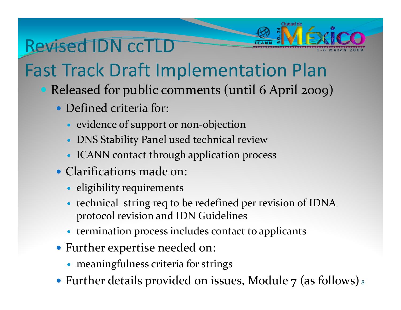## Revised IDN ccTLD



## Fast Track Draft Implementation Plan

- Released for public comments (until 6 April 2009)
	- Defined criteria for:
		- evidence of support or non-objection
		- DNS Stability Panel used technical review
		- ICANN contact through application process
	- Clarifications made on:
		- eligibility requirements
		- technical string req to be redefined per revision of IDNA protocol revision and IDN Guidelines
		- termination process includes contact to applicants
	- Further expertise needed on:
		- **•** meaningfulness criteria for strings
	- Further details provided on issues, Module 7 (as follows)  $_8$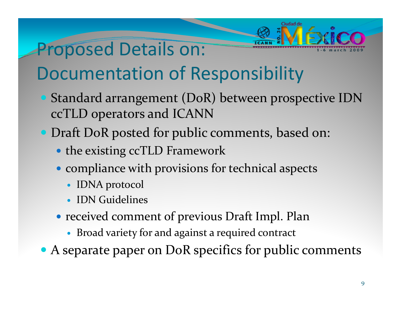

### **Proposed Details on:**

## **Documentation of Responsibility**

- Standard arrangement (DoR) between prospective IDN ccTLD operators and ICANN
- · Draft DoR posted for public comments, based on:
	- the existing ccTLD Framework
	- compliance with provisions for technical aspects
		- IDNA protocol
		- IDN Guidelines
	- received comment of previous Draft Impl. Plan
		- Broad variety for and against a required contract
- A separate paper on DoR specifics for public comments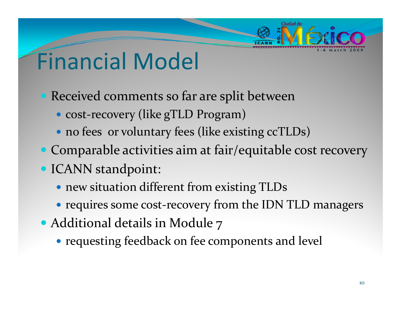

# Financial Model

- Received comments so far are split between
	- cost-recovery (like gTLD Program)
	- no fees or voluntary fees (like existing ccTLDs)
- Comparable activities aim at fair/equitable cost recovery
- ICANN standpoint:
	- new situation different from existing TLDs
	- requires some cost-recovery from the IDN TLD managers
- Additional details in Module 7
	- requesting feedback on fee components and level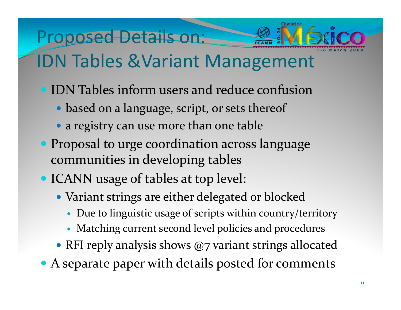## Proposed Details on: IDN Tables &Variant Management

- IDN Tables inform users and reduce confusion
	- based on a language, script, or sets thereof
	- a registry can use more than one table
- Proposal to urge coordination across language communities in developing tables
- ICANN usage of tables at top level:
	- Variant strings are either delegated or blocked
		- Due to linguistic usage of scripts within country/territory
		- Matching current second level policies and procedures
	- RFI reply analysis shows @7 variant strings allocated
- A separate paper with details posted for comments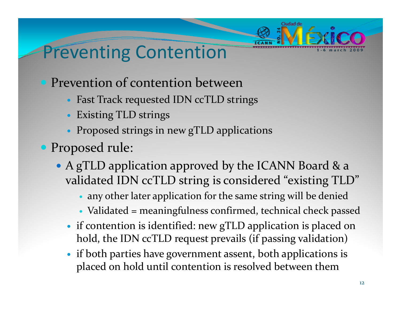### Preventing Contention

- Prevention of contention between
	- Fast Track requested IDN ccTLD strings
	- Existing TLD strings
	- Proposed strings in new gTLD applications
- Proposed rule:
	- A gTLD application approved by the ICANN Board & a validated IDN ccTLD string is considered "existing TLD"
		- $\bullet\,$  any other later application for the same string will be denied
		- Validated = meaningfulness confirmed, technical check passed
		- if contention is identified: new gTLD application is placed on hold, the IDN ccTLD reques<sup>t</sup> prevails (if passing validation)
		- $\bullet\,$  if both parties have government assent, both applications is placed on hold until contention is resolved between them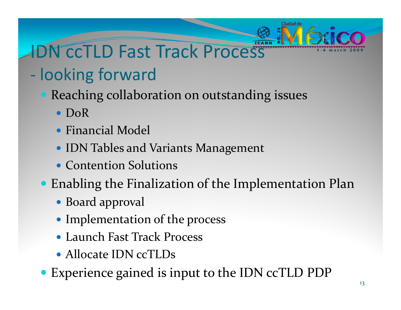## **IDN CCTLD Fast Track Process**

### - looking forward

- Reaching collaboration on outstanding issues
	- $\bullet$  DoR
	- Financial Model
	- IDN Tables and Variants Management
	- Contention Solutions
- Enabling the Finalization of the Implementation Plan
	- Board approval
	- Implementation of the process
	- Launch Fast Track Process
	- Allocate IDN ccTLDs
- Experience gained is input to the IDN ccTLD PDP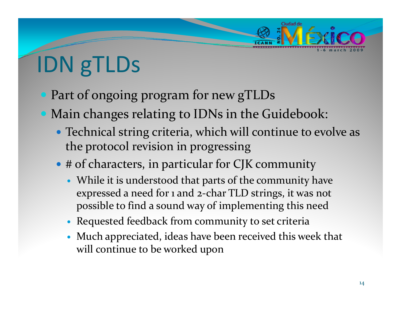# IDN gTLDs

- Part of ongoing program for new gTLDs
- **Main changes relating to IDNs in the Guidebook:** 
	- Technical string criteria, which will continue to evolve as the protocol revision in progressing
	- # of characters, in particular for CJK community
		- While it is understood that parts of the community have expressed <sup>a</sup> need for <sup>1</sup> and <sup>2</sup>‐char TLD strings, it was not possible to find <sup>a</sup> sound way of implementing this need
		- Requested feedback from community to set criteria
		- Much appreciated, ideas have been received this week that will continue to be worked upon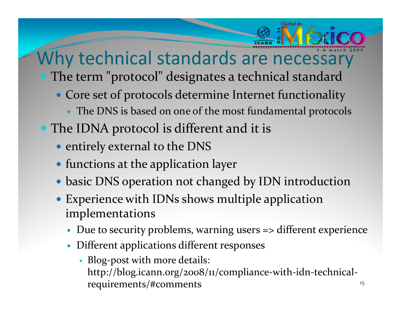## Why technical standards are necessary

- The term "protocol" designates a technical standard
	- Core set of protocols determine Internet functionality
		- The DNS is based on one of the most fundamental protocols
- The IDNA protocol is different and it is
	- entirely external to the DNS
	- functions at the application layer
	- basic DNS operation not changed by IDN introduction
	- Experience with IDNs shows multiple application implementations
		- Due to security problems, warning users => different experience
		- Different applications different responses
			- Blog-post with more details: http://blog.icann.org/2008/11/compliance-with-idn-technicalrequirements/#comments 15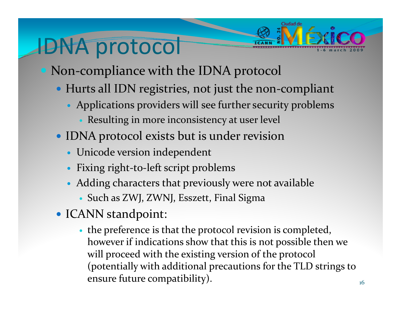# IDNA protocol



- Non-compliance with the IDNA protocol
	- Hurts all IDN registries, not just the non-compliant
		- Applications providers will see further security problems
			- $\bullet\,$  Resulting in more inconsistency at user level
	- IDNA protocol exists but is under revision
		- Unicode version independent
		- $\bullet$ Fixing right‐to‐left script problems
		- Adding characters that previously were not available
			- Such as ZWJ, ZWNJ, Esszett, Final Sigma
	- ICANN standpoint:
		- the preference is that the protocol revision is completed, however if indications show that this is not possible then we will proceed with the existing version of the protocol (potentially with additional precautions for the TLD strings to ensure future compatibility).  $16\frac{1}{16}$